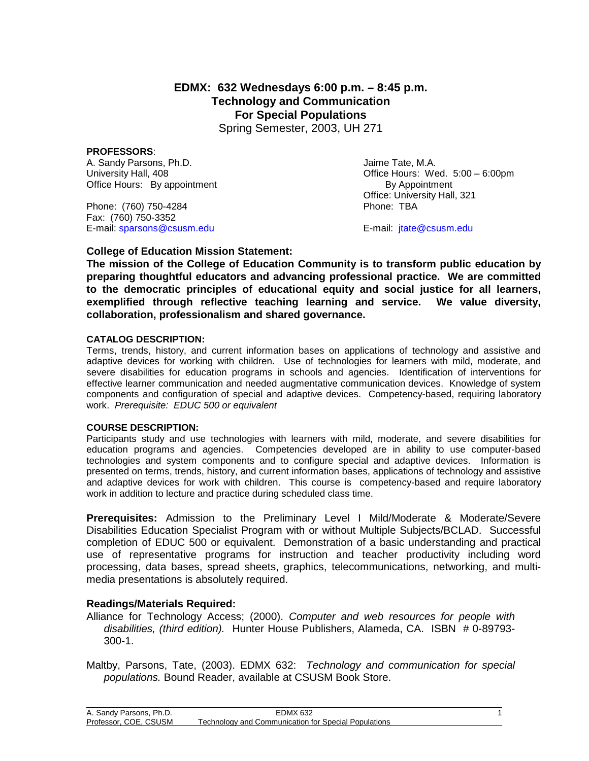**EDMX: 632 Wednesdays 6:00 p.m. – 8:45 p.m. Technology and Communication For Special Populations** Spring Semester, 2003, UH 271

**PROFESSORS**: A. Sandy Parsons, Ph.D. (All the Second League of Sandy Parsons, Ph.D. Communister Communist Communist Communist<br>
A Communist Communist Communist Communist Communist Communist Communist Communist Communist Communist Commun Office Hours: By appointment and By Appointment By Appointment

Phone: (760) 750-4284 Fax: (760) 750-3352 E-mail: [sparsons@csusm.edu](mailto:sparsons@csusm.edu) entitledination by the E-mail: itate@csusm.edu

Office Hours: Wed.  $5:00 - 6:00$ pm Office: University Hall, 321<br>Phone: TBA

### **College of Education Mission Statement:**

**The mission of the College of Education Community is to transform public education by preparing thoughtful educators and advancing professional practice. We are committed to the democratic principles of educational equity and social justice for all learners, exemplified through reflective teaching learning and service. We value diversity, collaboration, professionalism and shared governance.** 

#### **CATALOG DESCRIPTION:**

Terms, trends, history, and current information bases on applications of technology and assistive and adaptive devices for working with children. Use of technologies for learners with mild, moderate, and severe disabilities for education programs in schools and agencies. Identification of interventions for effective learner communication and needed augmentative communication devices. Knowledge of system components and configuration of special and adaptive devices. Competency-based, requiring laboratory work. *Prerequisite: EDUC 500 or equivalent*

#### **COURSE DESCRIPTION:**

Participants study and use technologies with learners with mild, moderate, and severe disabilities for education programs and agencies. Competencies developed are in ability to use computer-based technologies and system components and to configure special and adaptive devices. Information is presented on terms, trends, history, and current information bases, applications of technology and assistive and adaptive devices for work with children. This course is competency-based and require laboratory work in addition to lecture and practice during scheduled class time.

**Prerequisites:** Admission to the Preliminary Level I Mild/Moderate & Moderate/Severe Disabilities Education Specialist Program with or without Multiple Subjects/BCLAD. Successful completion of EDUC 500 or equivalent. Demonstration of a basic understanding and practical use of representative programs for instruction and teacher productivity including word processing, data bases, spread sheets, graphics, telecommunications, networking, and multimedia presentations is absolutely required.

### **Readings/Materials Required:**

- Alliance for Technology Access; (2000). *Computer and web resources for people with disabilities, (third edition).* Hunter House Publishers, Alameda, CA. ISBN # 0-89793- 300-1.
- Maltby, Parsons, Tate, (2003). EDMX 632: *Technology and communication for special populations.* Bound Reader, available at CSUSM Book Store.

| A. Sandy Parsons, Ph.D. | <b>EDMX 632</b>                                      |  |
|-------------------------|------------------------------------------------------|--|
| Professor, COE, CSUSM   | Technology and Communication for Special Populations |  |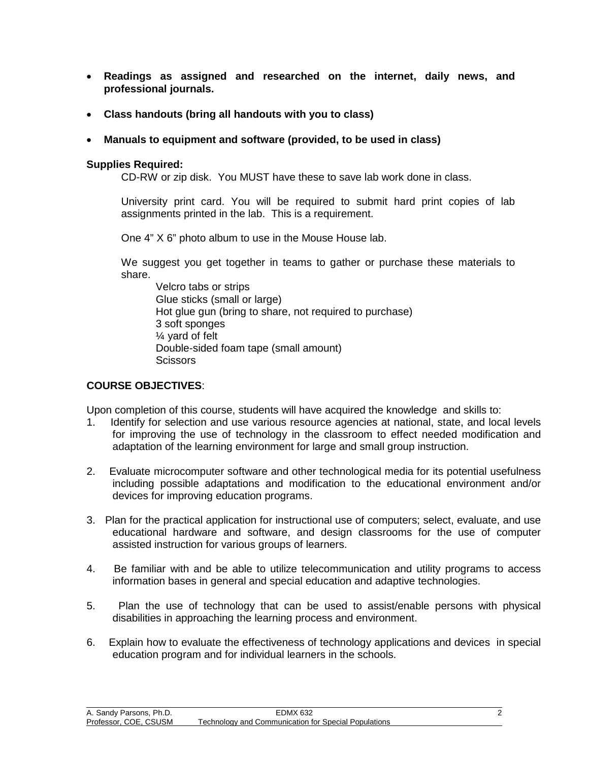- **Readings as assigned and researched on the internet, daily news, and professional journals.**
- **Class handouts (bring all handouts with you to class)**
- **Manuals to equipment and software (provided, to be used in class)**

### **Supplies Required:**

CD-RW or zip disk. You MUST have these to save lab work done in class.

University print card. You will be required to submit hard print copies of lab assignments printed in the lab. This is a requirement.

One 4" X 6" photo album to use in the Mouse House lab.

We suggest you get together in teams to gather or purchase these materials to share.

Velcro tabs or strips Glue sticks (small or large) Hot glue gun (bring to share, not required to purchase) 3 soft sponges ¼ yard of felt Double-sided foam tape (small amount) **Scissors** 

### **COURSE OBJECTIVES**:

Upon completion of this course, students will have acquired the knowledge and skills to:

- 1. Identify for selection and use various resource agencies at national, state, and local levels for improving the use of technology in the classroom to effect needed modification and adaptation of the learning environment for large and small group instruction.
- 2. Evaluate microcomputer software and other technological media for its potential usefulness including possible adaptations and modification to the educational environment and/or devices for improving education programs.
- 3. Plan for the practical application for instructional use of computers; select, evaluate, and use educational hardware and software, and design classrooms for the use of computer assisted instruction for various groups of learners.
- 4. Be familiar with and be able to utilize telecommunication and utility programs to access information bases in general and special education and adaptive technologies.
- 5. Plan the use of technology that can be used to assist/enable persons with physical disabilities in approaching the learning process and environment.
- 6. Explain how to evaluate the effectiveness of technology applications and devices in special education program and for individual learners in the schools.

| A. Sandy Parsons, Ph.D. | <b>EDMX 632</b>                                      |  |
|-------------------------|------------------------------------------------------|--|
| Professor, COE, CSUSM   | Technology and Communication for Special Populations |  |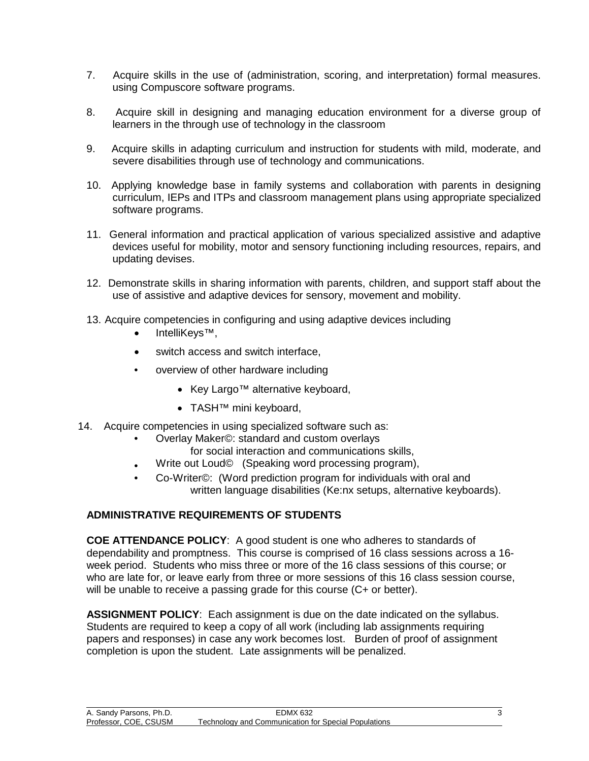- 7. Acquire skills in the use of (administration, scoring, and interpretation) formal measures. using Compuscore software programs.
- 8. Acquire skill in designing and managing education environment for a diverse group of learners in the through use of technology in the classroom
- 9. Acquire skills in adapting curriculum and instruction for students with mild, moderate, and severe disabilities through use of technology and communications.
- 10. Applying knowledge base in family systems and collaboration with parents in designing curriculum, IEPs and ITPs and classroom management plans using appropriate specialized software programs.
- 11. General information and practical application of various specialized assistive and adaptive devices useful for mobility, motor and sensory functioning including resources, repairs, and updating devises.
- 12. Demonstrate skills in sharing information with parents, children, and support staff about the use of assistive and adaptive devices for sensory, movement and mobility.
- 13. Acquire competencies in configuring and using adaptive devices including
	- IntelliKeys™,
	- switch access and switch interface,
	- overview of other hardware including
		- Key Largo™ alternative keyboard,
		- TASH™ mini keyboard,
- 14. Acquire competencies in using specialized software such as:
	- Overlay Maker©: standard and custom overlays
		- for social interaction and communications skills,
	- Write out Loud© (Speaking word processing program),
	- Co-Writer©: (Word prediction program for individuals with oral and written language disabilities (Ke:nx setups, alternative keyboards).

# **ADMINISTRATIVE REQUIREMENTS OF STUDENTS**

**COE ATTENDANCE POLICY**: A good student is one who adheres to standards of dependability and promptness. This course is comprised of 16 class sessions across a 16 week period. Students who miss three or more of the 16 class sessions of this course; or who are late for, or leave early from three or more sessions of this 16 class session course, will be unable to receive a passing grade for this course (C+ or better).

**ASSIGNMENT POLICY**: Each assignment is due on the date indicated on the syllabus. Students are required to keep a copy of all work (including lab assignments requiring papers and responses) in case any work becomes lost. Burden of proof of assignment completion is upon the student. Late assignments will be penalized.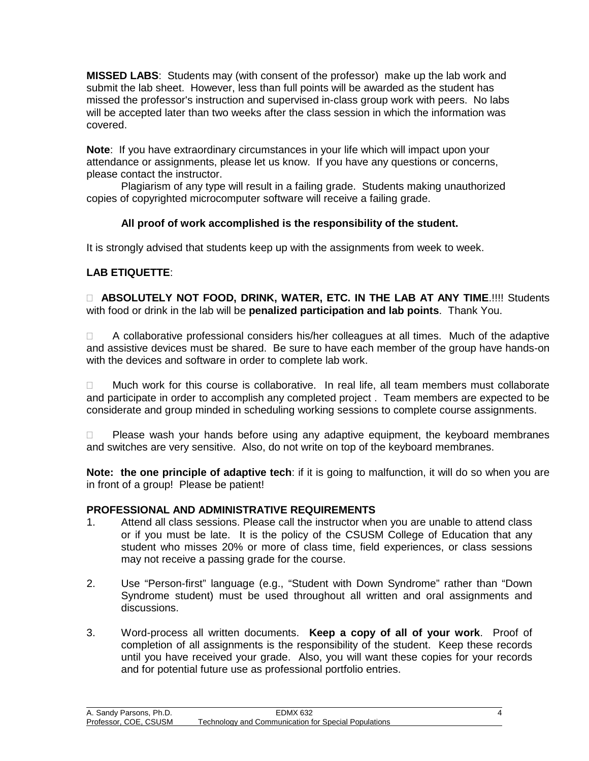**MISSED LABS**: Students may (with consent of the professor) make up the lab work and submit the lab sheet. However, less than full points will be awarded as the student has missed the professor's instruction and supervised in-class group work with peers. No labs will be accepted later than two weeks after the class session in which the information was covered.

**Note**: If you have extraordinary circumstances in your life which will impact upon your attendance or assignments, please let us know. If you have any questions or concerns, please contact the instructor.

Plagiarism of any type will result in a failing grade. Students making unauthorized copies of copyrighted microcomputer software will receive a failing grade.

# **All proof of work accomplished is the responsibility of the student.**

It is strongly advised that students keep up with the assignments from week to week.

# **LAB ETIQUETTE**:

# **ABSOLUTELY NOT FOOD, DRINK, WATER, ETC. IN THE LAB AT ANY TIME**.!!!! Students with food or drink in the lab will be **penalized participation and lab points**. Thank You.

 $\Box$  A collaborative professional considers his/her colleagues at all times. Much of the adaptive and assistive devices must be shared. Be sure to have each member of the group have hands-on with the devices and software in order to complete lab work.

 $\Box$  Much work for this course is collaborative. In real life, all team members must collaborate and participate in order to accomplish any completed project . Team members are expected to be considerate and group minded in scheduling working sessions to complete course assignments.

 $\Box$  Please wash your hands before using any adaptive equipment, the keyboard membranes and switches are very sensitive. Also, do not write on top of the keyboard membranes.

**Note: the one principle of adaptive tech**: if it is going to malfunction, it will do so when you are in front of a group! Please be patient!

# **PROFESSIONAL AND ADMINISTRATIVE REQUIREMENTS**

- 1. Attend all class sessions. Please call the instructor when you are unable to attend class or if you must be late. It is the policy of the CSUSM College of Education that any student who misses 20% or more of class time, field experiences, or class sessions may not receive a passing grade for the course.
- 2. Use "Person-first" language (e.g., "Student with Down Syndrome" rather than "Down Syndrome student) must be used throughout all written and oral assignments and discussions.
- 3. Word-process all written documents. **Keep a copy of all of your work**. Proof of completion of all assignments is the responsibility of the student. Keep these records until you have received your grade. Also, you will want these copies for your records and for potential future use as professional portfolio entries.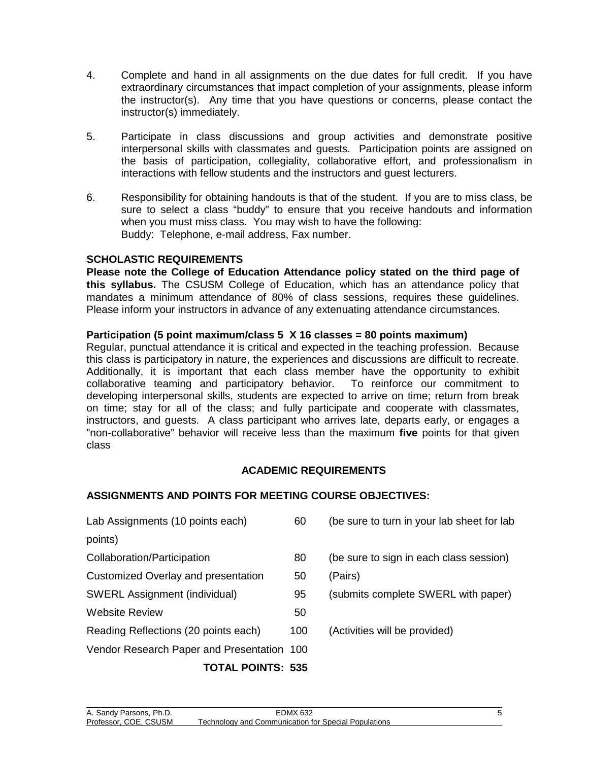- 4. Complete and hand in all assignments on the due dates for full credit. If you have extraordinary circumstances that impact completion of your assignments, please inform the instructor(s). Any time that you have questions or concerns, please contact the instructor(s) immediately.
- 5. Participate in class discussions and group activities and demonstrate positive interpersonal skills with classmates and guests. Participation points are assigned on the basis of participation, collegiality, collaborative effort, and professionalism in interactions with fellow students and the instructors and guest lecturers.
- 6. Responsibility for obtaining handouts is that of the student. If you are to miss class, be sure to select a class "buddy" to ensure that you receive handouts and information when you must miss class. You may wish to have the following: Buddy: Telephone, e-mail address, Fax number.

# **SCHOLASTIC REQUIREMENTS**

**Please note the College of Education Attendance policy stated on the third page of this syllabus.** The CSUSM College of Education, which has an attendance policy that mandates a minimum attendance of 80% of class sessions, requires these guidelines. Please inform your instructors in advance of any extenuating attendance circumstances.

# **Participation (5 point maximum/class 5 X 16 classes = 80 points maximum)**

Regular, punctual attendance it is critical and expected in the teaching profession. Because this class is participatory in nature, the experiences and discussions are difficult to recreate. Additionally, it is important that each class member have the opportunity to exhibit collaborative teaming and participatory behavior. To reinforce our commitment to developing interpersonal skills, students are expected to arrive on time; return from break on time; stay for all of the class; and fully participate and cooperate with classmates, instructors, and guests. A class participant who arrives late, departs early, or engages a "non-collaborative" behavior will receive less than the maximum **five** points for that given class

### **ACADEMIC REQUIREMENTS**

# **ASSIGNMENTS AND POINTS FOR MEETING COURSE OBJECTIVES:**

| Lab Assignments (10 points each)           | 60  | (be sure to turn in your lab sheet for lab |
|--------------------------------------------|-----|--------------------------------------------|
| points)                                    |     |                                            |
| Collaboration/Participation                | 80  | (be sure to sign in each class session)    |
| Customized Overlay and presentation        | 50  | (Pairs)                                    |
| <b>SWERL Assignment (individual)</b>       | 95  | (submits complete SWERL with paper)        |
| <b>Website Review</b>                      | 50  |                                            |
| Reading Reflections (20 points each)       | 100 | (Activities will be provided)              |
| Vendor Research Paper and Presentation 100 |     |                                            |
| TOTAL POINTS: 535                          |     |                                            |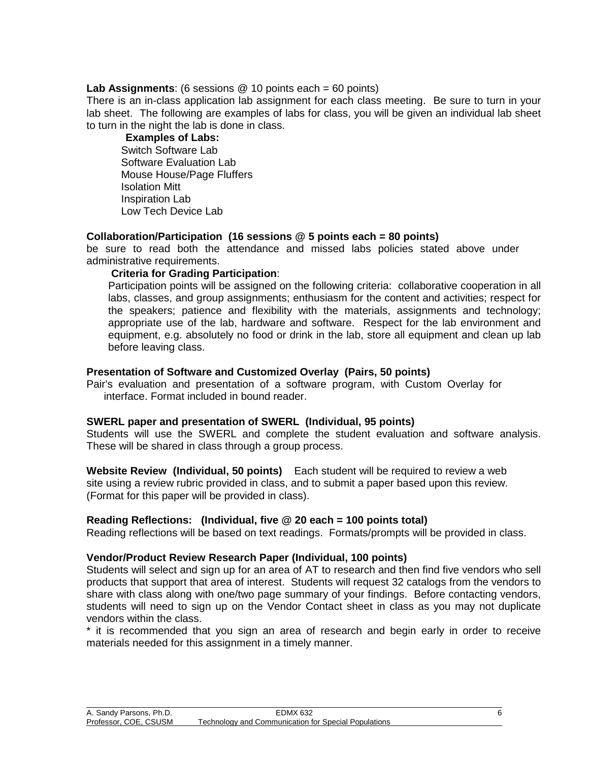### **Lab Assignments**: (6 sessions @ 10 points each = 60 points)

There is an in-class application lab assignment for each class meeting. Be sure to turn in your lab sheet. The following are examples of labs for class, you will be given an individual lab sheet to turn in the night the lab is done in class.

**Examples of Labs:** Switch Software Lab Software Evaluation Lab Mouse House/Page Fluffers Isolation Mitt Inspiration Lab Low Tech Device Lab

### **Collaboration/Participation (16 sessions @ 5 points each = 80 points)**

be sure to read both the attendance and missed labs policies stated above under administrative requirements.

### **Criteria for Grading Participation**:

Participation points will be assigned on the following criteria: collaborative cooperation in all labs, classes, and group assignments; enthusiasm for the content and activities; respect for the speakers; patience and flexibility with the materials, assignments and technology; appropriate use of the lab, hardware and software. Respect for the lab environment and equipment, e.g. absolutely no food or drink in the lab, store all equipment and clean up lab before leaving class.

### **Presentation of Software and Customized Overlay (Pairs, 50 points)**

Pair's evaluation and presentation of a software program, with Custom Overlay for interface. Format included in bound reader.

### **SWERL paper and presentation of SWERL (Individual, 95 points)**

Students will use the SWERL and complete the student evaluation and software analysis. These will be shared in class through a group process.

**Website Review (Individual, 50 points)** Each student will be required to review a web site using a review rubric provided in class, and to submit a paper based upon this review. (Format for this paper will be provided in class).

### **Reading Reflections: (Individual, five @ 20 each = 100 points total)**

Reading reflections will be based on text readings. Formats/prompts will be provided in class.

### **Vendor/Product Review Research Paper (Individual, 100 points)**

Students will select and sign up for an area of AT to research and then find five vendors who sell products that support that area of interest. Students will request 32 catalogs from the vendors to share with class along with one/two page summary of your findings. Before contacting vendors, students will need to sign up on the Vendor Contact sheet in class as you may not duplicate vendors within the class.

\* it is recommended that you sign an area of research and begin early in order to receive materials needed for this assignment in a timely manner.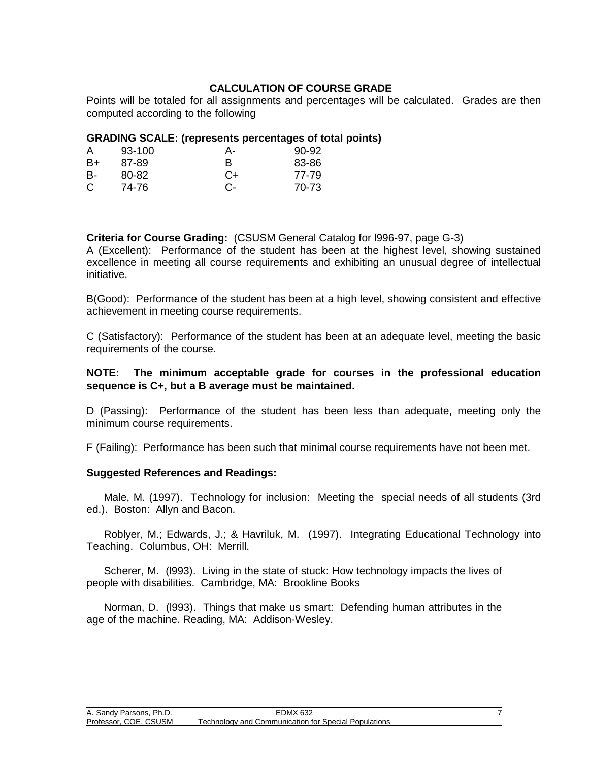# **CALCULATION OF COURSE GRADE**

Points will be totaled for all assignments and percentages will be calculated. Grades are then computed according to the following

### **GRADING SCALE: (represents percentages of total points)**

| Α  | 93-100 | А-    | 90-92 |
|----|--------|-------|-------|
| B+ | 87-89  | R     | 83-86 |
| В- | 80-82  | $C+$  | 77-79 |
| C  | 74-76  | $C$ - | 70-73 |

**Criteria for Course Grading:** (CSUSM General Catalog for l996-97, page G-3) A (Excellent): Performance of the student has been at the highest level, showing sustained excellence in meeting all course requirements and exhibiting an unusual degree of intellectual initiative.

B(Good): Performance of the student has been at a high level, showing consistent and effective achievement in meeting course requirements.

C (Satisfactory): Performance of the student has been at an adequate level, meeting the basic requirements of the course.

### **NOTE: The minimum acceptable grade for courses in the professional education sequence is C+, but a B average must be maintained.**

D (Passing): Performance of the student has been less than adequate, meeting only the minimum course requirements.

F (Failing): Performance has been such that minimal course requirements have not been met.

### **Suggested References and Readings:**

Male, M. (1997). Technology for inclusion: Meeting the special needs of all students (3rd ed.). Boston: Allyn and Bacon.

Roblyer, M.; Edwards, J.; & Havriluk, M. (1997). Integrating Educational Technology into Teaching. Columbus, OH: Merrill.

Scherer, M. (l993). Living in the state of stuck: How technology impacts the lives of people with disabilities. Cambridge, MA: Brookline Books

Norman, D. (l993). Things that make us smart: Defending human attributes in the age of the machine. Reading, MA: Addison-Wesley.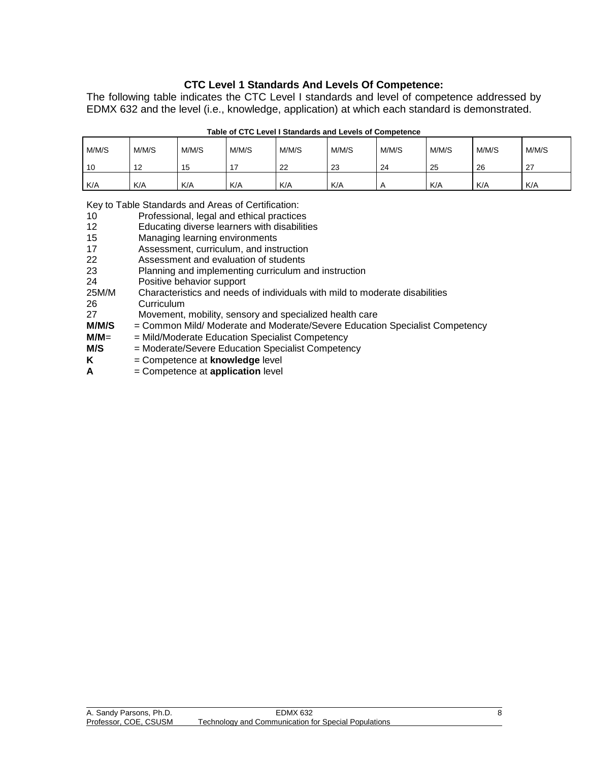# **CTC Level 1 Standards And Levels Of Competence:**

The following table indicates the CTC Level I standards and level of competence addressed by EDMX 632 and the level (i.e., knowledge, application) at which each standard is demonstrated.

| M/M/S | M/M/S | M/M/S | M/M/S | M/M/S | M/M/S | M/M/S | M/M/S | M/M/S | M/M/S |
|-------|-------|-------|-------|-------|-------|-------|-------|-------|-------|
|       |       |       |       |       |       |       |       |       |       |
| 10    | 12    | 15    |       | 22    | 23    | 24    | 25    | 26    | 27    |
|       |       |       |       |       |       |       |       |       |       |
| K/A   | K/A   | K/A   | K/A   | K/A   | K/A   |       | K/A   | K/A   | K/A   |

#### **Table of CTC Level I Standards and Levels of Competence**

Key to Table Standards and Areas of Certification:<br>10 Professional, legal and ethical practice

- 10 Professional, legal and ethical practices<br>12 Educating diverse learners with disabilitie
- Educating diverse learners with disabilities
- 15 Managing learning environments
- 17 Assessment, curriculum, and instruction<br>22 Assessment and evaluation of students
- 22 **Assessment and evaluation of students**<br>23 **Planning and implementing curriculum a**
- Planning and implementing curriculum and instruction
- 24 Positive behavior support
- 25M/M Characteristics and needs of individuals with mild to moderate disabilities
- 26 Curriculum<br>27 Movement. Movement, mobility, sensory and specialized health care
- **M/M/S** = Common Mild/ Moderate and Moderate/Severe Education Specialist Competency
- **M/M**= = Mild/Moderate Education Specialist Competency<br>**M/S** = Moderate/Severe Education Specialist Competen
- **M/S** = Moderate/Severe Education Specialist Competency<br>**K** = Competence at **knowledge** level
- **K** = Competence at **knowledge** level<br> **A** = Competence at **application** level
- $=$  Competence at **application** level